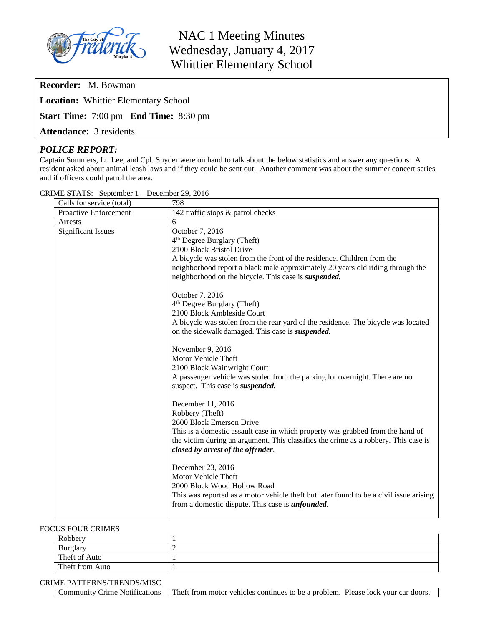

NAC 1 Meeting Minutes Wednesday, January 4, 2017 Whittier Elementary School

**Recorder:** M. Bowman

**Location:** Whittier Elementary School

**Start Time:** 7:00 pm **End Time:** 8:30 pm

**Attendance:** 3 residents

## *POLICE REPORT:*

Captain Sommers, Lt. Lee, and Cpl. Snyder were on hand to talk about the below statistics and answer any questions. A resident asked about animal leash laws and if they could be sent out. Another comment was about the summer concert series and if officers could patrol the area.

| Calls for service (total)    | 798                                                                                    |
|------------------------------|----------------------------------------------------------------------------------------|
| <b>Proactive Enforcement</b> | 142 traffic stops & patrol checks                                                      |
| Arrests                      | 6                                                                                      |
| <b>Significant Issues</b>    | October 7, 2016                                                                        |
|                              | 4 <sup>th</sup> Degree Burglary (Theft)                                                |
|                              | 2100 Block Bristol Drive                                                               |
|                              | A bicycle was stolen from the front of the residence. Children from the                |
|                              | neighborhood report a black male approximately 20 years old riding through the         |
|                              | neighborhood on the bicycle. This case is <i>suspended</i> .                           |
|                              | October 7, 2016                                                                        |
|                              | 4 <sup>th</sup> Degree Burglary (Theft)                                                |
|                              | 2100 Block Ambleside Court                                                             |
|                              | A bicycle was stolen from the rear yard of the residence. The bicycle was located      |
|                              | on the sidewalk damaged. This case is <i>suspended</i> .                               |
|                              | November 9, 2016                                                                       |
|                              | Motor Vehicle Theft                                                                    |
|                              | 2100 Block Wainwright Court                                                            |
|                              | A passenger vehicle was stolen from the parking lot overnight. There are no            |
|                              | suspect. This case is <i>suspended</i> .                                               |
|                              | December 11, 2016                                                                      |
|                              | Robbery (Theft)                                                                        |
|                              | 2600 Block Emerson Drive                                                               |
|                              | This is a domestic assault case in which property was grabbed from the hand of         |
|                              | the victim during an argument. This classifies the crime as a robbery. This case is    |
|                              | closed by arrest of the offender.                                                      |
|                              | December 23, 2016                                                                      |
|                              | Motor Vehicle Theft                                                                    |
|                              | 2000 Block Wood Hollow Road                                                            |
|                              | This was reported as a motor vehicle theft but later found to be a civil issue arising |
|                              | from a domestic dispute. This case is <i>unfounded</i> .                               |
|                              |                                                                                        |

CRIME STATS: September 1 – December 29, 2016

#### FOCUS FOUR CRIMES

| .               |  |  |
|-----------------|--|--|
| Robbery         |  |  |
| Burglary        |  |  |
| Theft of Auto   |  |  |
| Theft from Auto |  |  |

#### CRIME PATTERNS/TRENDS/MISC

Community Crime Notifications Theft from motor vehicles continues to be a problem. Please lock your car doors.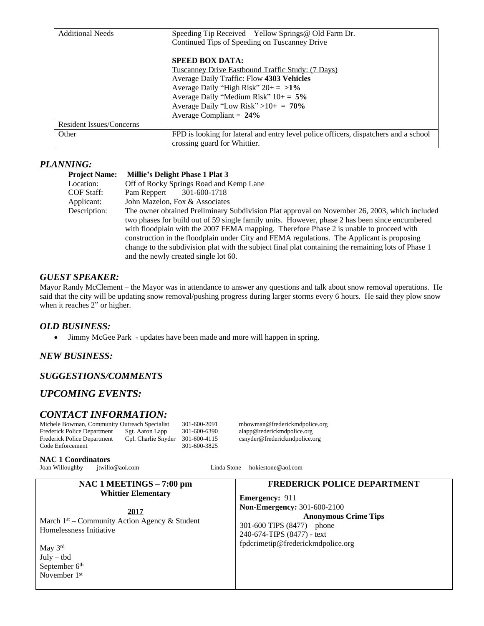| <b>Additional Needs</b>  | Speeding Tip Received – Yellow Springs @ Old Farm Dr.<br>Continued Tips of Speeding on Tuscanney Drive |  |
|--------------------------|--------------------------------------------------------------------------------------------------------|--|
|                          | <b>SPEED BOX DATA:</b>                                                                                 |  |
|                          | Tuscanney Drive Eastbound Traffic Study: (7 Days)                                                      |  |
|                          | Average Daily Traffic: Flow 4303 Vehicles                                                              |  |
|                          | Average Daily "High Risk" $20 + = 1\%$                                                                 |  |
|                          | Average Daily "Medium Risk" $10+=5\%$                                                                  |  |
|                          | Average Daily "Low Risk" > $10+ = 70\%$                                                                |  |
|                          | Average Compliant = $24\%$                                                                             |  |
| Resident Issues/Concerns |                                                                                                        |  |
| Other                    | FPD is looking for lateral and entry level police officers, dispatchers and a school                   |  |
|                          | crossing guard for Whittier.                                                                           |  |

## *PLANNING:*

| <b>Project Name:</b> | <b>Millie's Delight Phase 1 Plat 3</b>                                                              |
|----------------------|-----------------------------------------------------------------------------------------------------|
| Location:            | Off of Rocky Springs Road and Kemp Lane                                                             |
| COF Staff:           | 301-600-1718<br>Pam Reppert                                                                         |
| Applicant:           | John Mazelon, Fox & Associates                                                                      |
| Description:         | The owner obtained Preliminary Subdivision Plat approval on November 26, 2003, which included       |
|                      | two phases for build out of 59 single family units. However, phase 2 has been since encumbered      |
|                      | with floodplain with the 2007 FEMA mapping. Therefore Phase 2 is unable to proceed with             |
|                      | construction in the floodplain under City and FEMA regulations. The Applicant is proposing          |
|                      | change to the subdivision plat with the subject final plat containing the remaining lots of Phase 1 |
|                      | and the newly created single lot 60.                                                                |

## *GUEST SPEAKER:*

Mayor Randy McClement – the Mayor was in attendance to answer any questions and talk about snow removal operations. He said that the city will be updating snow removal/pushing progress during larger storms every 6 hours. He said they plow snow when it reaches 2" or higher.

#### *OLD BUSINESS:*

• Jimmy McGee Park - updates have been made and more will happen in spring.

## *NEW BUSINESS:*

## *SUGGESTIONS/COMMENTS*

# *UPCOMING EVENTS:*

# *CONTACT INFORMATION:*

Michele Bowman, Community Outreach Specialist 301-600-2091 mbowman@frederickmdpolice.org<br>Frederick Police Department Sgt. Aaron Lapp 301-600-6390 alapp@rederickmdpolice.org Frederick Police Department Sgt. Aaron Lapp 301-600-6390 alapp@rederickmdpolice.org<br>Frederick Police Department Cpl. Charlie Snyder 301-600-4115 csnyder@frederickmdpolice.org Code Enforcement

Frederick mdpolice Oesp. Charlie Snyder @frederickmdpolice.org<br>301-600-3825

#### **NAC 1 Coordinators**

Joan Willoughby [jtwillo@aol.com](mailto:jtwillo@aol.com) Linda Stone [hokiestone@aol.com](mailto:hokiestone@aol.com)

#### **NAC 1 MEETINGS – 7:00 pm Whittier Elementary 2017** March 1<sup>st</sup> – Community Action Agency & Student Homelessness Initiative May 3rd July – tbd September 6<sup>th</sup> November 1st **FREDERICK POLICE DEPARTMENT Emergency:** 911 **Non-Emergency:** 301-600-2100 **Anonymous Crime Tips** 301-600 TIPS (8477) – phone 240-674-TIPS (8477) - text [fpdcrimetip@frederickmdpolice.org](mailto:fpdcrimetip@frederickmdpolice.org)